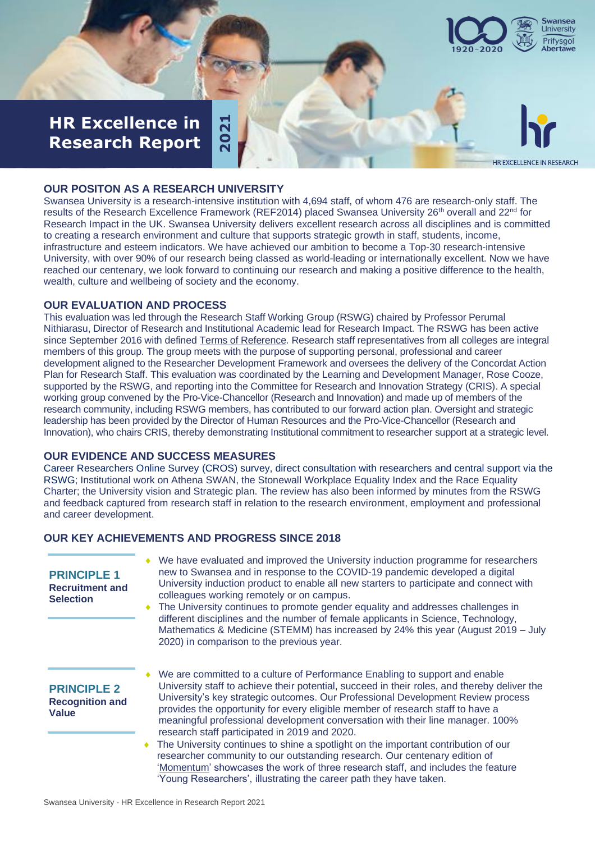

HR EXCELLENCE IN RESEARCH

# **HR Excellence in 14**<br>**Research Report 2 Research Report**

#### **OUR POSITON AS A RESEARCH UNIVERSITY**

#### **OUR EVALUATION AND PROCESS**

### **OUR EVIDENCE AND SUCCESS MEASURES**

#### **OUR KEY ACHIEVEMENTS AND PROGRESS SINCE 2018**

| <u>IIII FYACIICIIAC III</u><br><b>Research Report</b>            | 202                                                                                                                                                                                                                                                                                                                                                                                                                                                                                                                                                                                                                                                                                                                                                                                                                                                                                                                                                                                                                                                                                                                                                                                                                                                                                                                                                                                                                                                                                                                                                                                                | <b>HR EXCELLENCE IN</b> |
|------------------------------------------------------------------|----------------------------------------------------------------------------------------------------------------------------------------------------------------------------------------------------------------------------------------------------------------------------------------------------------------------------------------------------------------------------------------------------------------------------------------------------------------------------------------------------------------------------------------------------------------------------------------------------------------------------------------------------------------------------------------------------------------------------------------------------------------------------------------------------------------------------------------------------------------------------------------------------------------------------------------------------------------------------------------------------------------------------------------------------------------------------------------------------------------------------------------------------------------------------------------------------------------------------------------------------------------------------------------------------------------------------------------------------------------------------------------------------------------------------------------------------------------------------------------------------------------------------------------------------------------------------------------------------|-------------------------|
|                                                                  | <b>OUR POSITON AS A RESEARCH UNIVERSITY</b><br>Swansea University is a research-intensive institution with 4,694 staff, of whom 476 are research-only staff. The<br>results of the Research Excellence Framework (REF2014) placed Swansea University 26 <sup>th</sup> overall and 22 <sup>nd</sup> for<br>Research Impact in the UK. Swansea University delivers excellent research across all disciplines and is committec<br>to creating a research environment and culture that supports strategic growth in staff, students, income,<br>infrastructure and esteem indicators. We have achieved our ambition to become a Top-30 research-intensive<br>University, with over 90% of our research being classed as world-leading or internationally excellent. Now we have<br>reached our centenary, we look forward to continuing our research and making a positive difference to the health,<br>wealth, culture and wellbeing of society and the economy.                                                                                                                                                                                                                                                                                                                                                                                                                                                                                                                                                                                                                                      |                         |
|                                                                  | <b>OUR EVALUATION AND PROCESS</b><br>This evaluation was led through the Research Staff Working Group (RSWG) chaired by Professor Perumal<br>Nithiarasu, Director of Research and Institutional Academic lead for Research Impact. The RSWG has been active<br>since September 2016 with defined Terms of Reference. Research staff representatives from all colleges are integral<br>members of this group. The group meets with the purpose of supporting personal, professional and career<br>development aligned to the Researcher Development Framework and oversees the delivery of the Concordat Action<br>Plan for Research Staff. This evaluation was coordinated by the Learning and Development Manager, Rose Cooze,<br>supported by the RSWG, and reporting into the Committee for Research and Innovation Strategy (CRIS). A special<br>working group convened by the Pro-Vice-Chancellor (Research and Innovation) and made up of members of the<br>research community, including RSWG members, has contributed to our forward action plan. Oversight and strategic<br>leadership has been provided by the Director of Human Resources and the Pro-Vice-Chancellor (Research and<br>Innovation), who chairs CRIS, thereby demonstrating Institutional commitment to researcher support at a strategic level.<br><b>OUR EVIDENCE AND SUCCESS MEASURES</b><br>Career Researchers Online Survey (CROS) survey, direct consultation with researchers and central support via th<br>RSWG; Institutional work on Athena SWAN, the Stonewall Workplace Equality Index and the Race Equality |                         |
| and career development.                                          | Charter; the University vision and Strategic plan. The review has also been informed by minutes from the RSWG<br>and feedback captured from research staff in relation to the research environment, employment and professional<br><b>OUR KEY ACHIEVEMENTS AND PROGRESS SINCE 2018</b>                                                                                                                                                                                                                                                                                                                                                                                                                                                                                                                                                                                                                                                                                                                                                                                                                                                                                                                                                                                                                                                                                                                                                                                                                                                                                                             |                         |
| <b>PRINCIPLE 1</b><br><b>Recruitment and</b><br><b>Selection</b> | • We have evaluated and improved the University induction programme for researchers<br>new to Swansea and in response to the COVID-19 pandemic developed a digital<br>University induction product to enable all new starters to participate and connect with<br>colleagues working remotely or on campus.<br>The University continues to promote gender equality and addresses challenges in<br>different disciplines and the number of female applicants in Science, Technology,<br>Mathematics & Medicine (STEMM) has increased by 24% this year (August 2019 – July<br>2020) in comparison to the previous year.                                                                                                                                                                                                                                                                                                                                                                                                                                                                                                                                                                                                                                                                                                                                                                                                                                                                                                                                                                               |                         |
| <b>PRINCIPLE 2</b><br><b>Recognition and</b><br><b>Value</b>     | We are committed to a culture of Performance Enabling to support and enable<br>University staff to achieve their potential, succeed in their roles, and thereby deliver the<br>University's key strategic outcomes. Our Professional Development Review process<br>provides the opportunity for every eligible member of research staff to have a<br>meaningful professional development conversation with their line manager. 100%<br>research staff participated in 2019 and 2020.<br>The University continues to shine a spotlight on the important contribution of our<br>researcher community to our outstanding research. Our centenary edition of<br>'Momentum' showcases the work of three research staff, and includes the feature<br>'Young Researchers', illustrating the career path they have taken.                                                                                                                                                                                                                                                                                                                                                                                                                                                                                                                                                                                                                                                                                                                                                                                  |                         |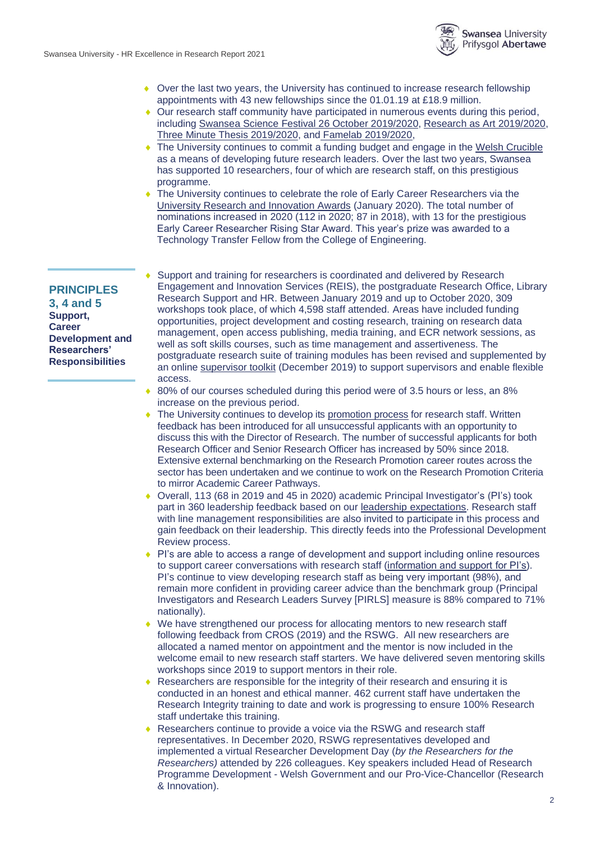

- Over the last two years, the University has continued to increase research fellowship appointments with 43 new fellowships since the 01.01.19 at £18.9 million.
- Our research staff community have participated in numerous events during this period, including [Swansea Science Festival 26 October](https://www.swansea.ac.uk/research/in-the-community/swansea-science-festival/) 2019/2020, [Research as Art 2019/2020,](https://www.swansea.ac.uk/research-as-art/2019---winners-and-runners-up/) [Three Minute Thesis 2019/2020,](https://www.swansea.ac.uk/research/research-with-us/postgraduate-research/three-minute-thesis-competition/) and [Famelab 2019/2020,](https://www.swansea.ac.uk/press-office/news-events/news/2020/05/swansea-universitys-double-success-reaching-famelab-final.php)
- The University continues to commit a funding budget and engage in the [Welsh Crucible](http://www.welshcrucible.org.uk/) as a means of developing future research leaders. Over the last two years, Swansea has supported 10 researchers, four of which are research staff, on this prestigious programme.
- The University continues to celebrate the role of Early Career Researchers via the [University Research and Innovation Awards](https://www.swansea.ac.uk/research/in-the-community/impact/iaa/research-innovation-awards-2020/winners/) (January 2020). The total number of nominations increased in 2020 (112 in 2020; 87 in 2018), with 13 for the prestigious Early Career Researcher Rising Star Award. This year's prize was awarded to a Technology Transfer Fellow from the College of Engineering.

#### **PRINCIPLES**

**3, 4 and 5 Support, Career Development and Researchers' Responsibilities**

 Support and training for researchers is coordinated and delivered by Research Engagement and Innovation Services (REIS), the postgraduate Research Office, Library Research Support and HR. Between January 2019 and up to October 2020, 309 workshops took place, of which 4,598 staff attended. Areas have included funding opportunities, project development and costing research, training on research data management, open access publishing, media training, and ECR network sessions, as well as soft skills courses, such as time management and assertiveness. The postgraduate research suite of training modules has been revised and supplemented by an online [supervisor toolkit](https://staff.swansea.ac.uk/professional-services/academic-services/postgraduate-research-office/pgr-supervisor-online-toolkit/) (December 2019) to support supervisors and enable flexible access.

- ◆ 80% of our courses scheduled during this period were of 3.5 hours or less, an 8% increase on the previous period.
- The University continues to develop it[s promotion process](https://staff.swansea.ac.uk/professional-services/human-resources/promotions/promotionprocessfortutorsandresearchstaff/) for research staff. Written feedback has been introduced for all unsuccessful applicants with an opportunity to discuss this with the Director of Research. The number of successful applicants for both Research Officer and Senior Research Officer has increased by 50% since 2018. Extensive external benchmarking on the Research Promotion career routes across the sector has been undertaken and we continue to work on the Research Promotion Criteria to mirror Academic Career Pathways.
- Overall, 113 (68 in 2019 and 45 in 2020) academic Principal Investigator's (PI's) took part in 360 leadership feedback based on our [leadership expectations.](https://staff.swansea.ac.uk/media/Leadership-Expectations-at-Swansea.pdf) Research staff with line management responsibilities are also invited to participate in this process and gain feedback on their leadership. This directly feeds into the Professional Development Review process.
- PI's are able to access a range of development and support including online resources to support career conversations with research staff [\(information and support for PI's\)](https://www.swansea.ac.uk/research/research-with-us/research-staff-development/supportforpis/). PI's continue to view developing research staff as being very important (98%), and remain more confident in providing career advice than the benchmark group (Principal Investigators and Research Leaders Survey [PIRLS] measure is 88% compared to 71% nationally).
- We have strengthened our process for allocating mentors to new research staff following feedback from CROS (2019) and the RSWG. All new researchers are allocated a named mentor on appointment and the mentor is now included in the welcome email to new research staff starters. We have delivered seven mentoring skills workshops since 2019 to support mentors in their role.
- Researchers are responsible for the integrity of their research and ensuring it is conducted in an honest and ethical manner. 462 current staff have undertaken the Research Integrity training to date and work is progressing to ensure 100% Research staff undertake this training.
- Researchers continue to provide a voice via the RSWG and research staff representatives. In December 2020, RSWG representatives developed and implemented a virtual Researcher Development Day (*by the Researchers for the Researchers)* attended by 226 colleagues. Key speakers included Head of Research Programme Development - Welsh Government and our Pro-Vice-Chancellor (Research & Innovation).